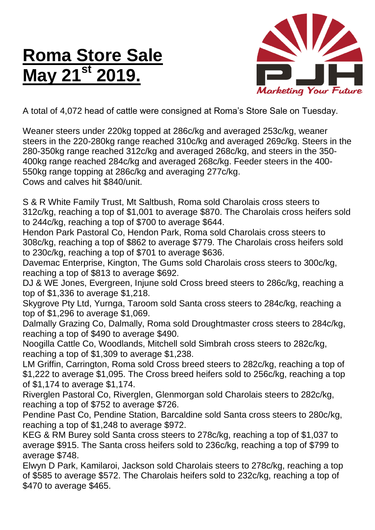## **Roma Store Sale May 21st 2019.**



A total of 4,072 head of cattle were consigned at Roma's Store Sale on Tuesday.

Weaner steers under 220kg topped at 286c/kg and averaged 253c/kg, weaner steers in the 220-280kg range reached 310c/kg and averaged 269c/kg. Steers in the 280-350kg range reached 312c/kg and averaged 268c/kg, and steers in the 350- 400kg range reached 284c/kg and averaged 268c/kg. Feeder steers in the 400- 550kg range topping at 286c/kg and averaging 277c/kg. Cows and calves hit \$840/unit.

S & R White Family Trust, Mt Saltbush, Roma sold Charolais cross steers to 312c/kg, reaching a top of \$1,001 to average \$870. The Charolais cross heifers sold to 244c/kg, reaching a top of \$700 to average \$644.

Hendon Park Pastoral Co, Hendon Park, Roma sold Charolais cross steers to 308c/kg, reaching a top of \$862 to average \$779. The Charolais cross heifers sold to 230c/kg, reaching a top of \$701 to average \$636.

Davemac Enterprise, Kington, The Gums sold Charolais cross steers to 300c/kg, reaching a top of \$813 to average \$692.

DJ & WE Jones, Evergreen, Injune sold Cross breed steers to 286c/kg, reaching a top of \$1,336 to average \$1,218.

Skygrove Pty Ltd, Yurnga, Taroom sold Santa cross steers to 284c/kg, reaching a top of \$1,296 to average \$1,069.

Dalmally Grazing Co, Dalmally, Roma sold Droughtmaster cross steers to 284c/kg, reaching a top of \$490 to average \$490.

Noogilla Cattle Co, Woodlands, Mitchell sold Simbrah cross steers to 282c/kg, reaching a top of \$1,309 to average \$1,238.

LM Griffin, Carrington, Roma sold Cross breed steers to 282c/kg, reaching a top of \$1,222 to average \$1,095. The Cross breed heifers sold to 256c/kg, reaching a top of \$1,174 to average \$1,174.

Riverglen Pastoral Co, Riverglen, Glenmorgan sold Charolais steers to 282c/kg, reaching a top of \$752 to average \$726.

Pendine Past Co, Pendine Station, Barcaldine sold Santa cross steers to 280c/kg, reaching a top of \$1,248 to average \$972.

KEG & RM Burey sold Santa cross steers to 278c/kg, reaching a top of \$1,037 to average \$915. The Santa cross heifers sold to 236c/kg, reaching a top of \$799 to average \$748.

Elwyn D Park, Kamilaroi, Jackson sold Charolais steers to 278c/kg, reaching a top of \$585 to average \$572. The Charolais heifers sold to 232c/kg, reaching a top of \$470 to average \$465.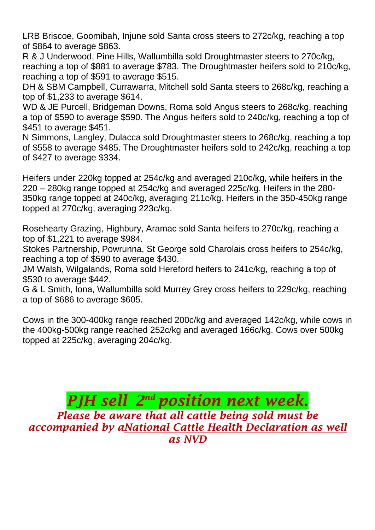LRB Briscoe, Goomibah, Injune sold Santa cross steers to 272c/kg, reaching a top of \$864 to average \$863.

R & J Underwood, Pine Hills, Wallumbilla sold Droughtmaster steers to 270c/kg, reaching a top of \$881 to average \$783. The Droughtmaster heifers sold to 210c/kg, reaching a top of \$591 to average \$515.

DH & SBM Campbell, Currawarra, Mitchell sold Santa steers to 268c/kg, reaching a top of \$1,233 to average \$614.

WD & JE Purcell, Bridgeman Downs, Roma sold Angus steers to 268c/kg, reaching a top of \$590 to average \$590. The Angus heifers sold to 240c/kg, reaching a top of \$451 to average \$451.

N Simmons, Langley, Dulacca sold Droughtmaster steers to 268c/kg, reaching a top of \$558 to average \$485. The Droughtmaster heifers sold to 242c/kg, reaching a top of \$427 to average \$334.

Heifers under 220kg topped at 254c/kg and averaged 210c/kg, while heifers in the 220 – 280kg range topped at 254c/kg and averaged 225c/kg. Heifers in the 280- 350kg range topped at 240c/kg, averaging 211c/kg. Heifers in the 350-450kg range topped at 270c/kg, averaging 223c/kg.

Rosehearty Grazing, Highbury, Aramac sold Santa heifers to 270c/kg, reaching a top of \$1,221 to average \$984.

Stokes Partnership, Powrunna, St George sold Charolais cross heifers to 254c/kg, reaching a top of \$590 to average \$430.

JM Walsh, Wilgalands, Roma sold Hereford heifers to 241c/kg, reaching a top of \$530 to average \$442.

G & L Smith, Iona, Wallumbilla sold Murrey Grey cross heifers to 229c/kg, reaching a top of \$686 to average \$605.

Cows in the 300-400kg range reached 200c/kg and averaged 142c/kg, while cows in the 400kg-500kg range reached 252c/kg and averaged 166c/kg. Cows over 500kg topped at 225c/kg, averaging 204c/kg.

*PJH sell 2<sup>nd</sup> position next week. Please be aware that all cattle being sold must be accompanied by aNational Cattle Health Declaration as well as NVD*